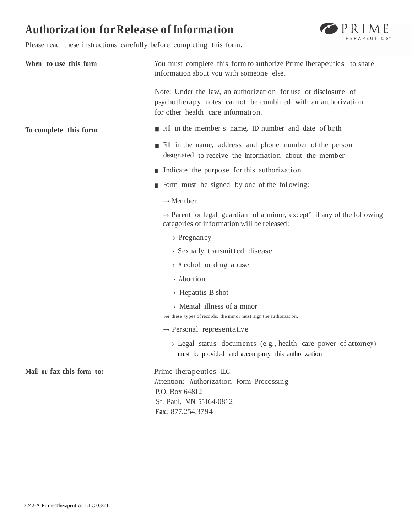# **Authorization forRelease of Information**



Please read these instructions carefully before completing this form.

| When to use this form     | You must complete this form to authorize Prime Therapeutics to share<br>information about you with someone else.                                                     |  |  |
|---------------------------|----------------------------------------------------------------------------------------------------------------------------------------------------------------------|--|--|
|                           | Note: Under the law, an authorization for use or disclosure of<br>psychotherapy notes cannot be combined with an authorization<br>for other health care information. |  |  |
| To complete this form     | Fill in the member's name, ID number and date of birth                                                                                                               |  |  |
|                           | Fill in the name, address and phone number of the person<br>designated to receive the information about the member                                                   |  |  |
|                           | Indicate the purpose for this authorization                                                                                                                          |  |  |
|                           | Form must be signed by one of the following:                                                                                                                         |  |  |
|                           | $\rightarrow$ Member                                                                                                                                                 |  |  |
|                           | $\rightarrow$ Parent or legal guardian of a minor, except <sup>†</sup> if any of the following<br>categories of information will be released:                        |  |  |
|                           | $\rightarrow$ Pregnancy                                                                                                                                              |  |  |
|                           | > Sexually transmitted disease                                                                                                                                       |  |  |
|                           | > Alcohol or drug abuse                                                                                                                                              |  |  |
|                           | > Abortion                                                                                                                                                           |  |  |
|                           | $\rightarrow$ Hepatitis B shot                                                                                                                                       |  |  |
|                           | > Mental illness of a minor<br>For these types of records, the minor must sign the authorization.                                                                    |  |  |
|                           | $\rightarrow$ Personal representative                                                                                                                                |  |  |
|                           | > Legal status documents (e.g., health care power of attorney)<br>must be provided and accompany this authorization                                                  |  |  |
| Mail or fax this form to: | Prime Therapeutics LLC<br>Attention: Authorization Form Processing<br>P.O. Box 64812<br>St. Paul, MN 55164-0812                                                      |  |  |
|                           | Fax: 877.254.3794                                                                                                                                                    |  |  |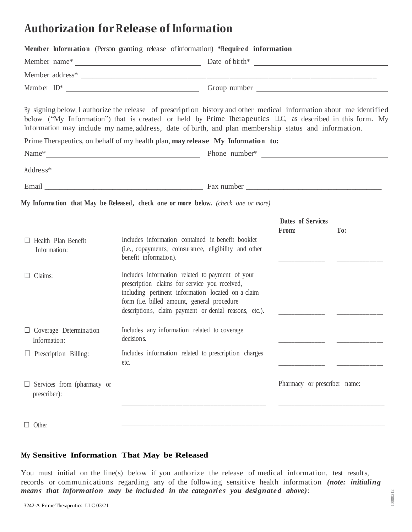# **Authorization forRelease of Information**

| Member Information (Person granting release of information) *Required information                                                                                                                                                                                                                                                        |                                                                                                                                                                                                                                                                |  |                                   |     |
|------------------------------------------------------------------------------------------------------------------------------------------------------------------------------------------------------------------------------------------------------------------------------------------------------------------------------------------|----------------------------------------------------------------------------------------------------------------------------------------------------------------------------------------------------------------------------------------------------------------|--|-----------------------------------|-----|
|                                                                                                                                                                                                                                                                                                                                          |                                                                                                                                                                                                                                                                |  |                                   |     |
|                                                                                                                                                                                                                                                                                                                                          |                                                                                                                                                                                                                                                                |  |                                   |     |
|                                                                                                                                                                                                                                                                                                                                          |                                                                                                                                                                                                                                                                |  |                                   |     |
| By signing below, I authorize the release of prescription history and other medical information about me identified<br>below ("My Information") that is created or held by Prime Therapeutics LLC, as described in this form. My<br>Information may include my name, address, date of birth, and plan membership status and information. |                                                                                                                                                                                                                                                                |  |                                   |     |
| Prime Therapeutics, on behalf of my health plan, may release My Information to:                                                                                                                                                                                                                                                          |                                                                                                                                                                                                                                                                |  |                                   |     |
|                                                                                                                                                                                                                                                                                                                                          |                                                                                                                                                                                                                                                                |  |                                   |     |
| Address*                                                                                                                                                                                                                                                                                                                                 |                                                                                                                                                                                                                                                                |  |                                   |     |
|                                                                                                                                                                                                                                                                                                                                          |                                                                                                                                                                                                                                                                |  |                                   |     |
| My Information that May be Released, check one or more below. (check one or more)                                                                                                                                                                                                                                                        |                                                                                                                                                                                                                                                                |  |                                   |     |
|                                                                                                                                                                                                                                                                                                                                          |                                                                                                                                                                                                                                                                |  | <b>Dates of Services</b><br>From: | To: |
| Health Plan Benefit<br>Information:                                                                                                                                                                                                                                                                                                      | Includes information contained in benefit booklet<br>(i.e., copayments, coinsurance, eligibility and other<br>benefit information).                                                                                                                            |  |                                   |     |
| $\Box$ Claims:                                                                                                                                                                                                                                                                                                                           | Includes information related to payment of your<br>prescription claims for service you received,<br>including pertinent information located on a claim<br>form (i.e. billed amount, general procedure<br>descriptions, claim payment or denial reasons, etc.). |  |                                   |     |
| $\Box$ Coverage Determination<br>Information:                                                                                                                                                                                                                                                                                            | Includes any information related to coverage<br>decision s.                                                                                                                                                                                                    |  |                                   |     |
| $\Box$ Prescription Billing:                                                                                                                                                                                                                                                                                                             | Includes information related to prescription charges<br>etc.                                                                                                                                                                                                   |  |                                   |     |
| Services from (pharmacy or<br>prescriber):                                                                                                                                                                                                                                                                                               |                                                                                                                                                                                                                                                                |  | Pharmacy or prescriber name:      |     |
| Other                                                                                                                                                                                                                                                                                                                                    |                                                                                                                                                                                                                                                                |  |                                   |     |

# **My Sensitive Information That May be Released**

You must initial on the line(s) below if you authorize the release of medical information, test results, records or communications regarding any of the following sensitive health information *(note: initialing means that information may be included in the categories you designated above*):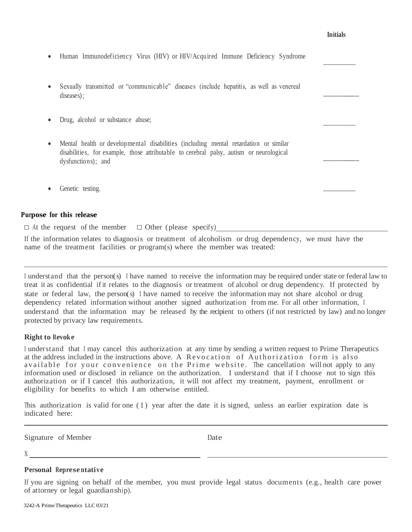### **Initials**

 $\overline{\phantom{a}}$ 

 $\frac{1}{\sqrt{2}}$ 

 $\overline{\phantom{a}}$   $\overline{\phantom{a}}$   $\overline{\phantom{a}}$   $\overline{\phantom{a}}$   $\overline{\phantom{a}}$   $\overline{\phantom{a}}$   $\overline{\phantom{a}}$   $\overline{\phantom{a}}$   $\overline{\phantom{a}}$   $\overline{\phantom{a}}$   $\overline{\phantom{a}}$   $\overline{\phantom{a}}$   $\overline{\phantom{a}}$   $\overline{\phantom{a}}$   $\overline{\phantom{a}}$   $\overline{\phantom{a}}$   $\overline{\phantom{a}}$   $\overline{\phantom{a}}$   $\overline{\$ 

 $\overline{\phantom{a}}$ 

- Human Immunodeficiency Virus (HIV) or HIV/Acquired Immune Deficiency Syndrome
- Sexually transmitted or "communicable" diseases (include hepatitis, as well as venereal diseases);  $\overline{\phantom{a}}$
- Drug, alcohol or substance abuse;
- Mental health or developmental disabilities (including mental retardation or similar disabilities, for example, those attributable to cerebral palsy, autism or neurological dysfunctions); and
- Genetic testing.

## **Purpose for this release**

 $\Box$  At the request of the member  $\Box$  Other (please specify)

If the information relates to diagnosis or treatment of alcoholism or drug dependency, we must have the name of the treatment facilities or program(s) where the member was treated:

<sup>I</sup> understand that the person(s) <sup>I</sup> have named to receive the information may be required under state or federal law to treat it as confidential if it relates to the diagnosis or treatment of alcohol or drug dependency. If protected by state or federal law, the person(s) <sup>I</sup> have named to receive the information may not share alcohol or drug dependency related information without another signed authorization from me. For all other information, <sup>I</sup> understand that the information may be released by the recipient to others (if not restricted by law) and no longer protected by privacy law requirements.

### **Right to Revoke**

<sup>I</sup> understand that <sup>I</sup> may cancel this authorization at any time by sending a written request to Prime Therapeutics at the address included in the instructions above. A Revocation of Authorization form is also available for your convenience on the Prime website. The cancellation will not apply to any information used or disclosed in reliance on the authorization. I understand that if I choose not to sign this authorization or if I cancel this authorization, it will not affect my treatment, payment, enrollment or eligibility for benefits to which I am otherwise entitled.

This authorization is valid for one  $(1)$  year after the date it is signed, unless an earlier expiration date is indicated here:

<u> 1990 - Johann Barbara, martin a</u>

Signature of Member Date

X

### **Personal Represe ntative**

If you are signing on behalf of the member, you must provide legal status documents (e.g., health care power of attorney or legal guardianship).